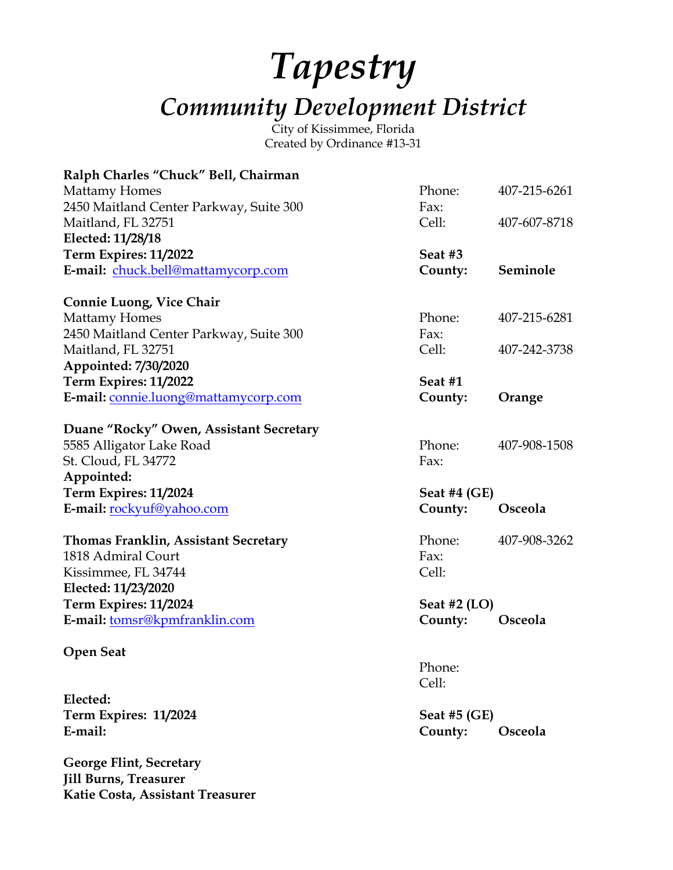## *Tapestry Community Development District*

City of Kissimmee, Florida Created by Ordinance #13-31

| Ralph Charles "Chuck" Bell, Chairman        |                |              |
|---------------------------------------------|----------------|--------------|
| <b>Mattamy Homes</b>                        | Phone:         | 407-215-6261 |
| 2450 Maitland Center Parkway, Suite 300     | Fax:           |              |
| Maitland, FL 32751                          | Cell:          | 407-607-8718 |
| Elected: 11/28/18                           |                |              |
| Term Expires: 11/2022                       | Seat #3        |              |
| E-mail: chuck.bell@mattamycorp.com          | County:        | Seminole     |
| <b>Connie Luong, Vice Chair</b>             |                |              |
| <b>Mattamy Homes</b>                        | Phone:         | 407-215-6281 |
| 2450 Maitland Center Parkway, Suite 300     | Fax:           |              |
| Maitland, FL 32751                          | Cell:          | 407-242-3738 |
| Appointed: 7/30/2020                        |                |              |
| Term Expires: 11/2022                       | Seat #1        |              |
| E-mail: connie.luong@mattamycorp.com        | County:        | Orange       |
| Duane "Rocky" Owen, Assistant Secretary     |                |              |
| 5585 Alligator Lake Road                    | Phone:         | 407-908-1508 |
| St. Cloud, FL 34772                         | Fax:           |              |
| Appointed:                                  |                |              |
| Term Expires: 11/2024                       | Seat #4 $(GE)$ |              |
| E-mail: rockyuf@yahoo.com                   | County:        | Osceola      |
| <b>Thomas Franklin, Assistant Secretary</b> | Phone:         | 407-908-3262 |
| 1818 Admiral Court                          | Fax:           |              |
| Kissimmee, FL 34744                         | Cell:          |              |
| Elected: 11/23/2020                         |                |              |
| Term Expires: 11/2024                       | Seat #2 $(LO)$ |              |
| E-mail: tomsr@kpmfranklin.com               | County:        | Osceola      |
| <b>Open Seat</b>                            |                |              |
|                                             | Phone:         |              |
|                                             | Cell:          |              |
| Elected:                                    |                |              |
| Term Expires: 11/2024                       | Seat #5 $(GE)$ |              |
| E-mail:                                     | County:        | Osceola      |
| <b>George Flint, Secretary</b>              |                |              |
| <b>Jill Burns, Treasurer</b>                |                |              |
| Katie Costa, Assistant Treasurer            |                |              |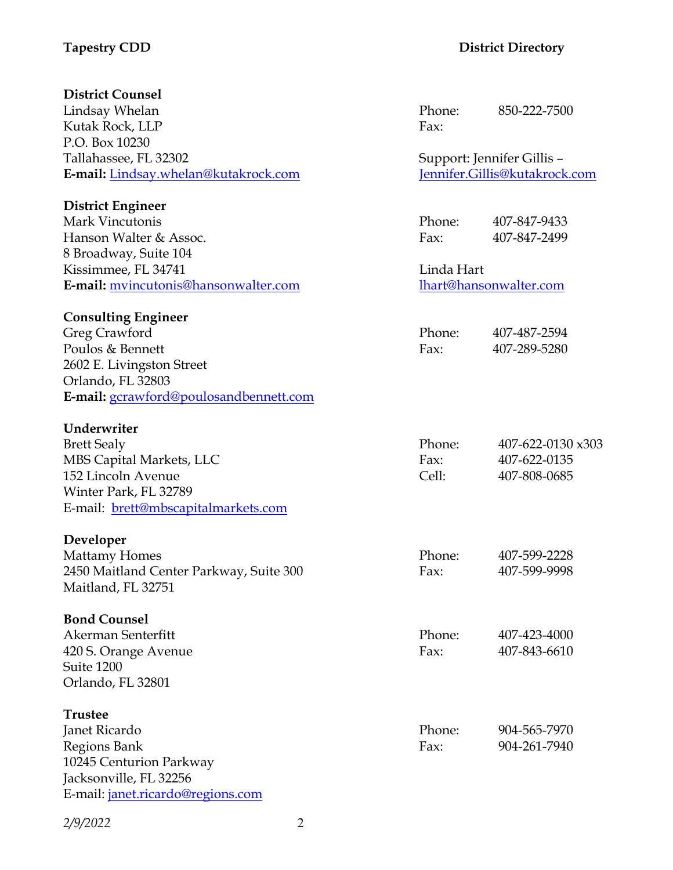## **Tapestry CDD District Directory**

| <b>District Counsel</b>                                       |        |                               |  |
|---------------------------------------------------------------|--------|-------------------------------|--|
| Lindsay Whelan                                                | Phone: | 850-222-7500                  |  |
| Kutak Rock, LLP                                               | Fax:   |                               |  |
| P.O. Box 10230                                                |        |                               |  |
| Tallahassee, FL 32302                                         |        | Support: Jennifer Gillis -    |  |
| E-mail: Lindsay.whelan@kutakrock.com                          |        | Jennifer.Gillis@kutakrock.com |  |
| <b>District Engineer</b>                                      |        |                               |  |
| Mark Vincutonis                                               | Phone: | 407-847-9433                  |  |
| Hanson Walter & Assoc.                                        | Fax:   | 407-847-2499                  |  |
| 8 Broadway, Suite 104                                         |        |                               |  |
| Kissimmee, FL 34741                                           |        | Linda Hart                    |  |
| E-mail: mvincutonis@hansonwalter.com                          |        | lhart@hansonwalter.com        |  |
| <b>Consulting Engineer</b>                                    |        |                               |  |
| Greg Crawford                                                 | Phone: | 407-487-2594                  |  |
| Poulos & Bennett                                              | Fax:   | 407-289-5280                  |  |
| 2602 E. Livingston Street                                     |        |                               |  |
| Orlando, FL 32803                                             |        |                               |  |
| E-mail: gcrawford@poulosandbennett.com                        |        |                               |  |
| Underwriter                                                   |        |                               |  |
| <b>Brett Sealy</b>                                            | Phone: | 407-622-0130 x303             |  |
| MBS Capital Markets, LLC                                      | Fax:   | 407-622-0135                  |  |
| 152 Lincoln Avenue                                            | Cell:  | 407-808-0685                  |  |
| Winter Park, FL 32789                                         |        |                               |  |
| E-mail: brett@mbscapitalmarkets.com                           |        |                               |  |
|                                                               |        |                               |  |
| Developer                                                     |        |                               |  |
| <b>Mattamy Homes</b>                                          | Phone: | 407-599-2228                  |  |
| 2450 Maitland Center Parkway, Suite 300<br>Maitland, FL 32751 | Fax:   | 407-599-9998                  |  |
|                                                               |        |                               |  |
| <b>Bond Counsel</b>                                           |        |                               |  |
| Akerman Senterfitt                                            | Phone: | 407-423-4000                  |  |
| 420 S. Orange Avenue                                          | Fax:   | 407-843-6610                  |  |
| Suite 1200                                                    |        |                               |  |
| Orlando, FL 32801                                             |        |                               |  |
| <b>Trustee</b>                                                |        |                               |  |
| Janet Ricardo                                                 | Phone: | 904-565-7970                  |  |
| Regions Bank                                                  | Fax:   | 904-261-7940                  |  |
| 10245 Centurion Parkway                                       |        |                               |  |
| Jacksonville, FL 32256                                        |        |                               |  |
| E-mail: <i>janet.ricardo@regions.com</i>                      |        |                               |  |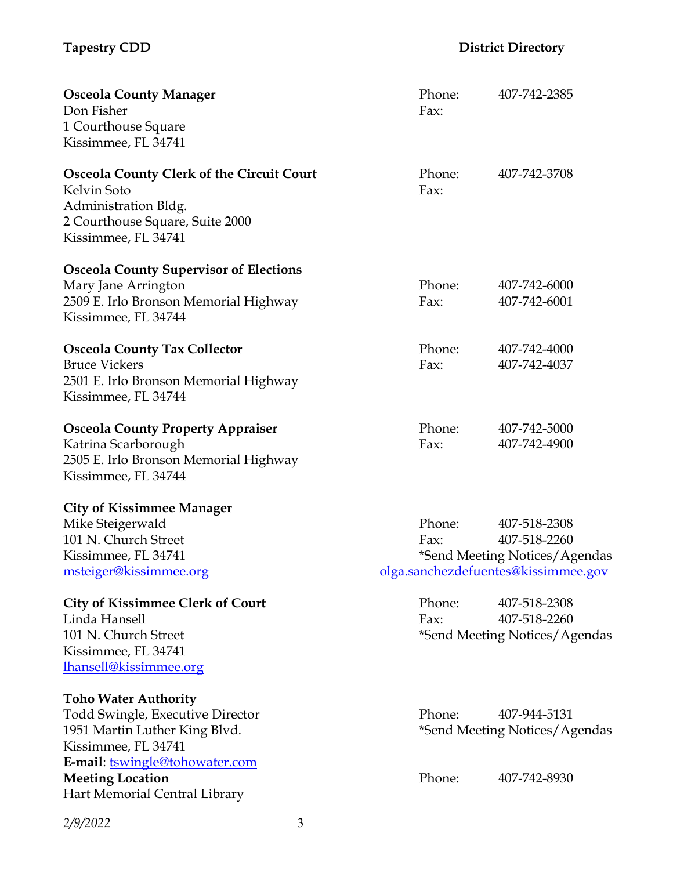| <b>Osceola County Manager</b>                    | Phone: | 407-742-2385                        |
|--------------------------------------------------|--------|-------------------------------------|
| Don Fisher                                       | Fax:   |                                     |
| 1 Courthouse Square                              |        |                                     |
| Kissimmee, FL 34741                              |        |                                     |
| <b>Osceola County Clerk of the Circuit Court</b> | Phone: | 407-742-3708                        |
| Kelvin Soto                                      | Fax:   |                                     |
| Administration Bldg.                             |        |                                     |
| 2 Courthouse Square, Suite 2000                  |        |                                     |
| Kissimmee, FL 34741                              |        |                                     |
| <b>Osceola County Supervisor of Elections</b>    |        |                                     |
| Mary Jane Arrington                              | Phone: | 407-742-6000                        |
| 2509 E. Irlo Bronson Memorial Highway            | Fax:   | 407-742-6001                        |
| Kissimmee, FL 34744                              |        |                                     |
| <b>Osceola County Tax Collector</b>              | Phone: | 407-742-4000                        |
| <b>Bruce Vickers</b>                             | Fax:   | 407-742-4037                        |
| 2501 E. Irlo Bronson Memorial Highway            |        |                                     |
| Kissimmee, FL 34744                              |        |                                     |
| <b>Osceola County Property Appraiser</b>         | Phone: | 407-742-5000                        |
| Katrina Scarborough                              | Fax:   | 407-742-4900                        |
| 2505 E. Irlo Bronson Memorial Highway            |        |                                     |
| Kissimmee, FL 34744                              |        |                                     |
| <b>City of Kissimmee Manager</b>                 |        |                                     |
| Mike Steigerwald                                 | Phone: | 407-518-2308                        |
| 101 N. Church Street                             | Fax:   | 407-518-2260                        |
| Kissimmee, FL 34741                              |        | *Send Meeting Notices/Agendas       |
| msteiger@kissimmee.org                           |        | olga.sanchezdefuentes@kissimmee.gov |
| <b>City of Kissimmee Clerk of Court</b>          | Phone: | 407-518-2308                        |
| Linda Hansell                                    | Fax:   | 407-518-2260                        |
| 101 N. Church Street                             |        | *Send Meeting Notices/Agendas       |
| Kissimmee, FL 34741                              |        |                                     |
| lhansell@kissimmee.org                           |        |                                     |
| <b>Toho Water Authority</b>                      |        |                                     |
| <b>Todd Swingle, Executive Director</b>          | Phone: | 407-944-5131                        |
| 1951 Martin Luther King Blvd.                    |        | *Send Meeting Notices/Agendas       |
| Kissimmee, FL 34741                              |        |                                     |
| E-mail: tswingle@tohowater.com                   |        |                                     |

**Meeting Location Phone:** 407-742-8930 Hart Memorial Central Library

*2/9/2022* 3